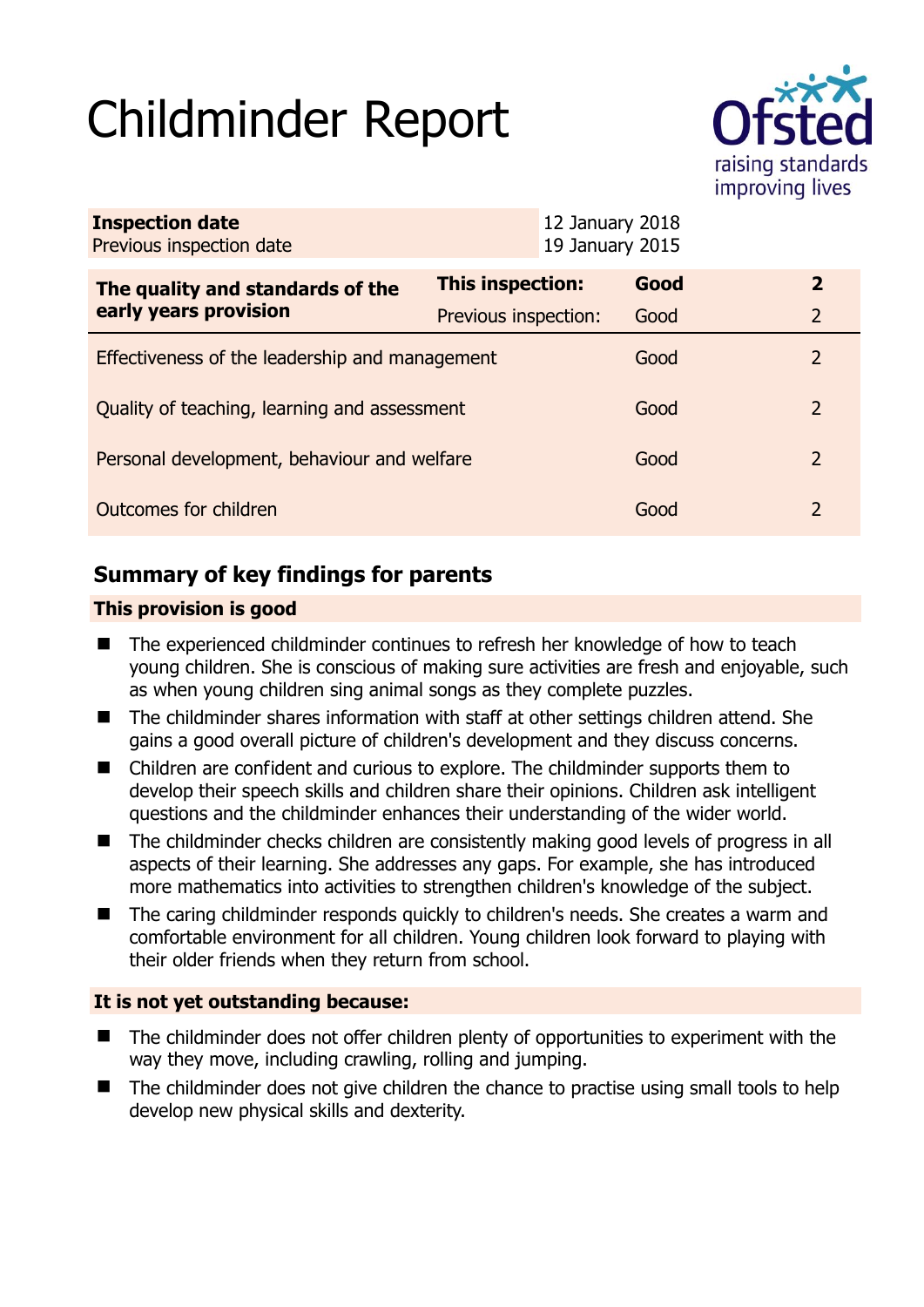# Childminder Report



| <b>Inspection date</b><br>Previous inspection date        |                      | 12 January 2018<br>19 January 2015 |      |                |
|-----------------------------------------------------------|----------------------|------------------------------------|------|----------------|
| The quality and standards of the<br>early years provision | This inspection:     |                                    | Good | $\overline{2}$ |
|                                                           | Previous inspection: |                                    | Good | 2              |
| Effectiveness of the leadership and management            |                      |                                    | Good | $\mathcal{P}$  |
| Quality of teaching, learning and assessment              |                      |                                    | Good | $\mathcal{P}$  |
| Personal development, behaviour and welfare               |                      |                                    | Good | 2              |
| Outcomes for children                                     |                      |                                    | Good | $\mathcal{L}$  |

# **Summary of key findings for parents**

## **This provision is good**

- The experienced childminder continues to refresh her knowledge of how to teach young children. She is conscious of making sure activities are fresh and enjoyable, such as when young children sing animal songs as they complete puzzles.
- The childminder shares information with staff at other settings children attend. She gains a good overall picture of children's development and they discuss concerns.
- Children are confident and curious to explore. The childminder supports them to develop their speech skills and children share their opinions. Children ask intelligent questions and the childminder enhances their understanding of the wider world.
- The childminder checks children are consistently making good levels of progress in all aspects of their learning. She addresses any gaps. For example, she has introduced more mathematics into activities to strengthen children's knowledge of the subject.
- The caring childminder responds quickly to children's needs. She creates a warm and comfortable environment for all children. Young children look forward to playing with their older friends when they return from school.

## **It is not yet outstanding because:**

- The childminder does not offer children plenty of opportunities to experiment with the way they move, including crawling, rolling and jumping.
- The childminder does not give children the chance to practise using small tools to help develop new physical skills and dexterity.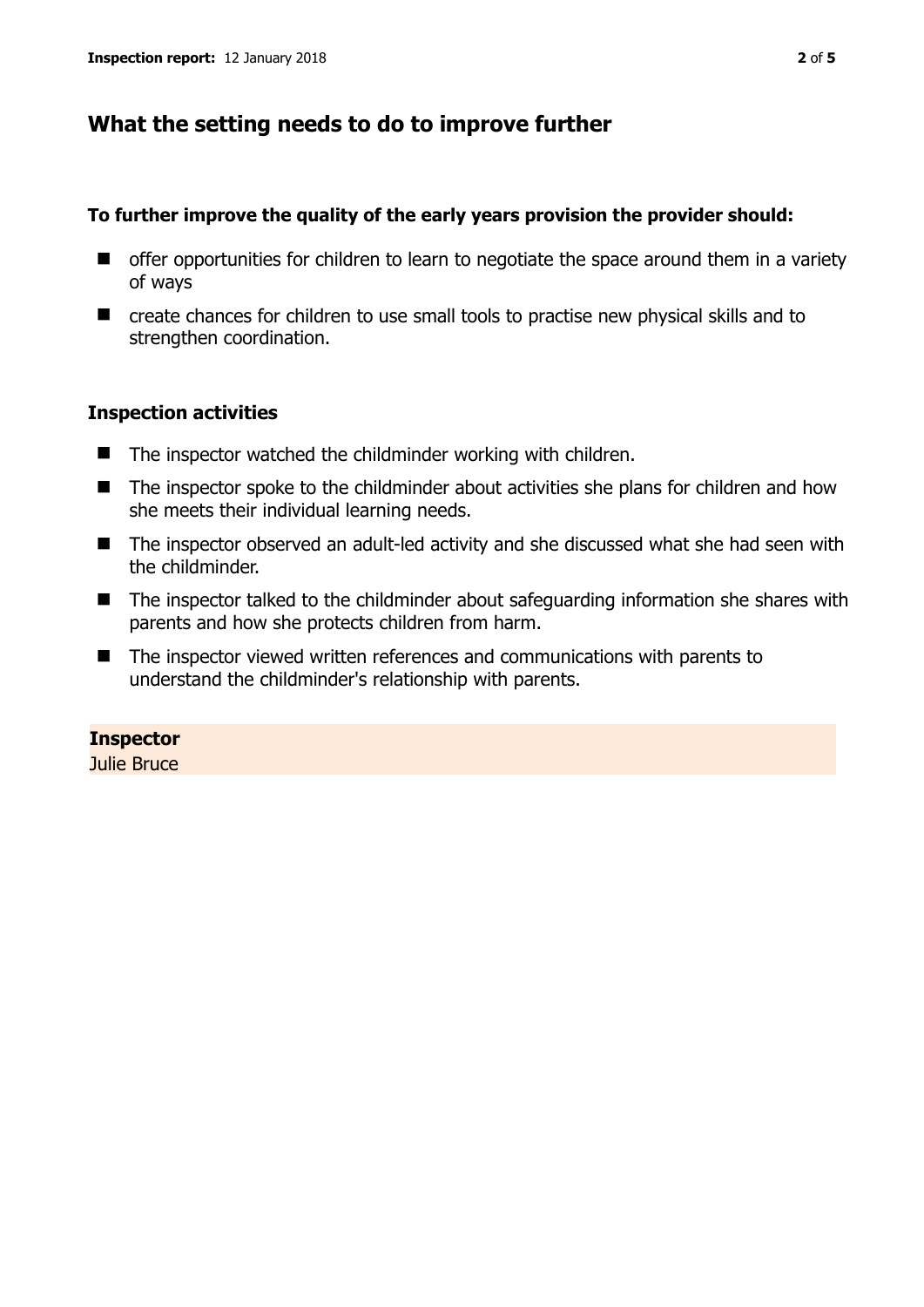# **What the setting needs to do to improve further**

#### **To further improve the quality of the early years provision the provider should:**

- $\blacksquare$  offer opportunities for children to learn to negotiate the space around them in a variety of ways
- create chances for children to use small tools to practise new physical skills and to strengthen coordination.

### **Inspection activities**

- $\blacksquare$  The inspector watched the childminder working with children.
- The inspector spoke to the childminder about activities she plans for children and how she meets their individual learning needs.
- The inspector observed an adult-led activity and she discussed what she had seen with the childminder.
- The inspector talked to the childminder about safeguarding information she shares with parents and how she protects children from harm.
- The inspector viewed written references and communications with parents to understand the childminder's relationship with parents.

## **Inspector**

Julie Bruce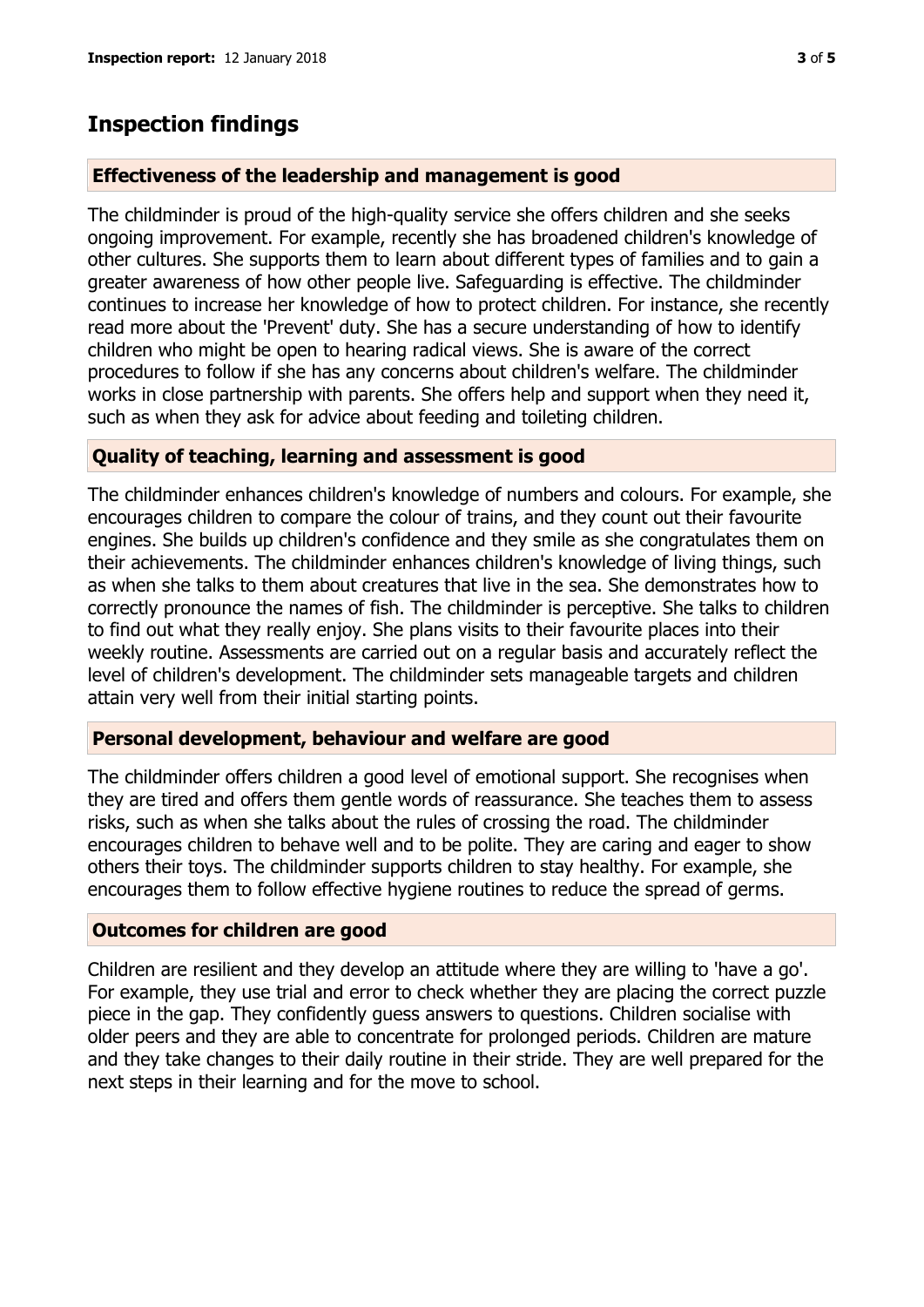# **Inspection findings**

#### **Effectiveness of the leadership and management is good**

The childminder is proud of the high-quality service she offers children and she seeks ongoing improvement. For example, recently she has broadened children's knowledge of other cultures. She supports them to learn about different types of families and to gain a greater awareness of how other people live. Safeguarding is effective. The childminder continues to increase her knowledge of how to protect children. For instance, she recently read more about the 'Prevent' duty. She has a secure understanding of how to identify children who might be open to hearing radical views. She is aware of the correct procedures to follow if she has any concerns about children's welfare. The childminder works in close partnership with parents. She offers help and support when they need it, such as when they ask for advice about feeding and toileting children.

### **Quality of teaching, learning and assessment is good**

The childminder enhances children's knowledge of numbers and colours. For example, she encourages children to compare the colour of trains, and they count out their favourite engines. She builds up children's confidence and they smile as she congratulates them on their achievements. The childminder enhances children's knowledge of living things, such as when she talks to them about creatures that live in the sea. She demonstrates how to correctly pronounce the names of fish. The childminder is perceptive. She talks to children to find out what they really enjoy. She plans visits to their favourite places into their weekly routine. Assessments are carried out on a regular basis and accurately reflect the level of children's development. The childminder sets manageable targets and children attain very well from their initial starting points.

#### **Personal development, behaviour and welfare are good**

The childminder offers children a good level of emotional support. She recognises when they are tired and offers them gentle words of reassurance. She teaches them to assess risks, such as when she talks about the rules of crossing the road. The childminder encourages children to behave well and to be polite. They are caring and eager to show others their toys. The childminder supports children to stay healthy. For example, she encourages them to follow effective hygiene routines to reduce the spread of germs.

## **Outcomes for children are good**

Children are resilient and they develop an attitude where they are willing to 'have a go'. For example, they use trial and error to check whether they are placing the correct puzzle piece in the gap. They confidently guess answers to questions. Children socialise with older peers and they are able to concentrate for prolonged periods. Children are mature and they take changes to their daily routine in their stride. They are well prepared for the next steps in their learning and for the move to school.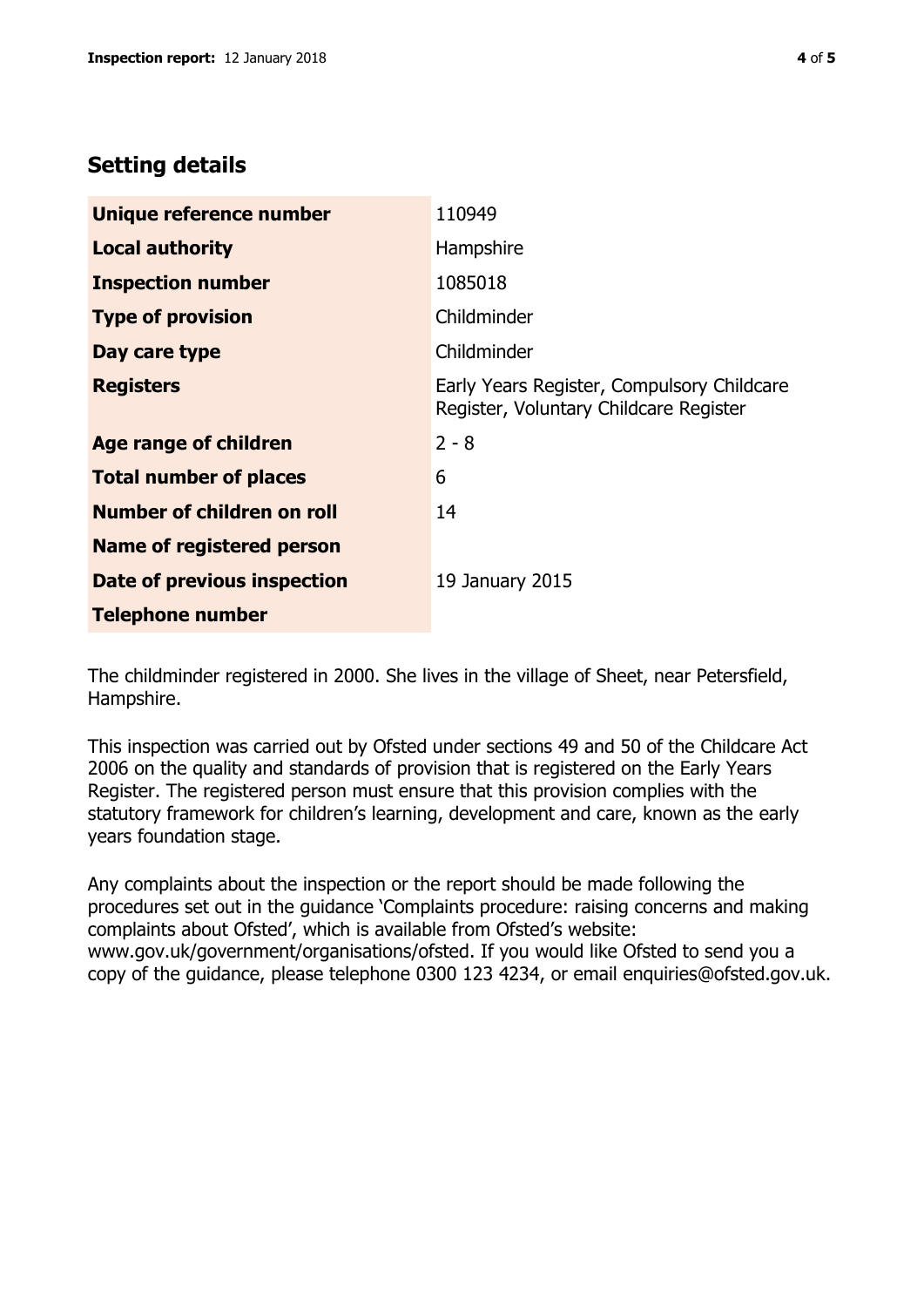# **Setting details**

| Unique reference number           | 110949                                                                               |  |
|-----------------------------------|--------------------------------------------------------------------------------------|--|
| <b>Local authority</b>            | Hampshire                                                                            |  |
| <b>Inspection number</b>          | 1085018                                                                              |  |
| <b>Type of provision</b>          | Childminder                                                                          |  |
| Day care type                     | Childminder                                                                          |  |
| <b>Registers</b>                  | Early Years Register, Compulsory Childcare<br>Register, Voluntary Childcare Register |  |
| Age range of children             | $2 - 8$                                                                              |  |
| <b>Total number of places</b>     | 6                                                                                    |  |
| <b>Number of children on roll</b> | 14                                                                                   |  |
| <b>Name of registered person</b>  |                                                                                      |  |
| Date of previous inspection       | 19 January 2015                                                                      |  |
| <b>Telephone number</b>           |                                                                                      |  |

The childminder registered in 2000. She lives in the village of Sheet, near Petersfield, Hampshire.

This inspection was carried out by Ofsted under sections 49 and 50 of the Childcare Act 2006 on the quality and standards of provision that is registered on the Early Years Register. The registered person must ensure that this provision complies with the statutory framework for children's learning, development and care, known as the early years foundation stage.

Any complaints about the inspection or the report should be made following the procedures set out in the guidance 'Complaints procedure: raising concerns and making complaints about Ofsted', which is available from Ofsted's website: www.gov.uk/government/organisations/ofsted. If you would like Ofsted to send you a copy of the guidance, please telephone 0300 123 4234, or email enquiries@ofsted.gov.uk.